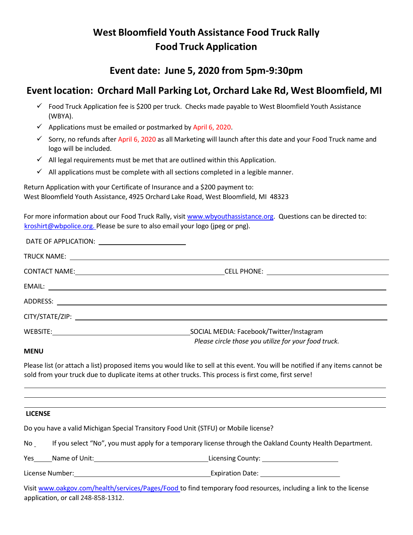# **West Bloomfield Youth Assistance Food Truck Rally Food Truck Application**

### **Event date: June 5, 2020 from 5pm-9:30pm**

## **Event location: Orchard Mall Parking Lot, Orchard Lake Rd, West Bloomfield, MI**

- $\checkmark$  Food Truck Application fee is \$200 per truck. Checks made payable to West Bloomfield Youth Assistance (WBYA).
- $\checkmark$  Applications must be emailed or postmarked by April 6, 2020.
- Sorry, no refunds after April 6, 2020 as all Marketing will launch after this date and your Food Truck name and logo will be included.
- $\checkmark$  All legal requirements must be met that are outlined within this Application.
- $\checkmark$  All applications must be complete with all sections completed in a legible manner.

Return Application with your Certificate of Insurance and a \$200 payment to: West Bloomfield Youth Assistance, 4925 Orchard Lake Road, West Bloomfield, MI 48323

For more information about our Food Truck Rally, visit [www.wbyouthassistance.org.](http://www.wbyouthassistance.org/) Questions can be directed to: [kroshirt@wbpolice.org.](mailto:kroshirt@wbpolice.org) Please be sure to also email your logo (jpeg or png).

| SOCIAL MEDIA: Facebook/Twitter/Instagram<br>Please circle those you utilize for your food truck. |
|--------------------------------------------------------------------------------------------------|

#### **MENU**

Please list (or attach a list) proposed items you would like to sell at this event. You will be notified if any items cannot be sold from your truck due to duplicate items at other trucks. This process is first come, first serve!

#### **LICENSE**

Do you have a valid Michigan Special Transitory Food Unit (STFU) or Mobile license?

No If you select "No", you must apply for a temporary license through the Oakland County Health Department.

Yes Name of Unit: Note also not a licensing County: Name of Unit:

License Number: Expiration Date:

Visit [www.oakgov.com/health/services/Pages/Food](http://www.oakgov.com/health/services/Pages/Food) to find temporary food resources, including a link to the license application, or call 248-858-1312.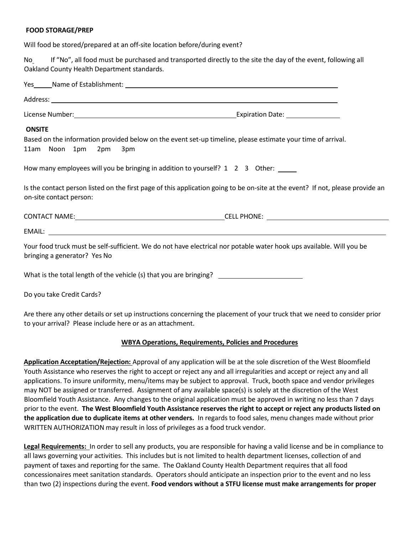#### **FOOD STORAGE/PREP**

Will food be stored/prepared at an off-site location before/during event?

No If "No", all food must be purchased and transported directly to the site the day of the event, following all Oakland County Health Department standards.

| <b>ONSITE</b>                |                                                                                                                                |
|------------------------------|--------------------------------------------------------------------------------------------------------------------------------|
|                              | Based on the information provided below on the event set-up timeline, please estimate your time of arrival.                    |
| 11am Noon 1pm 2pm 3pm        |                                                                                                                                |
|                              | How many employees will you be bringing in addition to yourself? 1 2 3 Other: _____                                            |
| on-site contact person:      | Is the contact person listed on the first page of this application going to be on-site at the event? If not, please provide an |
|                              |                                                                                                                                |
|                              |                                                                                                                                |
| bringing a generator? Yes No | Your food truck must be self-sufficient. We do not have electrical nor potable water hook ups available. Will you be           |
|                              |                                                                                                                                |
| Do you take Credit Cards?    |                                                                                                                                |

Are there any other details or set up instructions concerning the placement of your truck that we need to consider prior to your arrival? Please include here or as an attachment.

#### **WBYA Operations, Requirements, Policies and Procedures**

**Application Acceptation/Rejection:** Approval of any application will be at the sole discretion of the West Bloomfield Youth Assistance who reserves the right to accept or reject any and all irregularities and accept or reject any and all applications. To insure uniformity, menu/items may be subject to approval. Truck, booth space and vendor privileges may NOT be assigned or transferred. Assignment of any available space(s) is solely at the discretion of the West Bloomfield Youth Assistance. Any changes to the original application must be approved in writing no less than 7 days prior to the event. **The West Bloomfield Youth Assistance reserves the right to accept or reject any products listed on the application due to duplicate items at other venders.** In regards to food sales, menu changes made without prior WRITTEN AUTHORIZATION may result in loss of privileges as a food truck vendor.

**Legal Requirements:** In order to sell any products, you are responsible for having a valid license and be in compliance to all laws governing your activities. This includes but is not limited to health department licenses, collection of and payment of taxes and reporting for the same. The Oakland County Health Department requires that all food concessionaires meet sanitation standards. Operators should anticipate an inspection prior to the event and no less than two (2) inspections during the event. **Food vendors without a STFU license must make arrangements for proper**